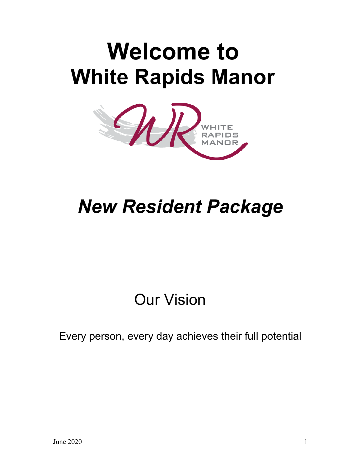# **Welcome to White Rapids Manor**



# *New Resident Package*

# Our Vision

### Every person, every day achieves their full potential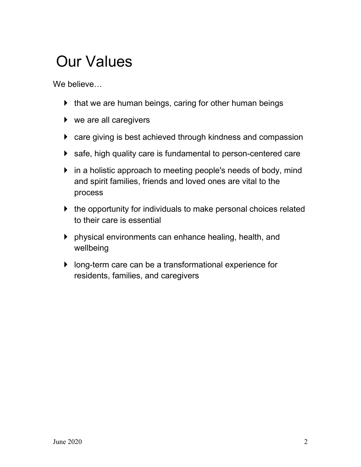# Our Values

We believe…

- $\blacktriangleright$  that we are human beings, caring for other human beings
- ▶ we are all caregivers
- care giving is best achieved through kindness and compassion
- ▶ safe, high quality care is fundamental to person-centered care
- If in a holistic approach to meeting people's needs of body, mind and spirit families, friends and loved ones are vital to the process
- $\blacktriangleright$  the opportunity for individuals to make personal choices related to their care is essential
- physical environments can enhance healing, health, and wellbeing
- long-term care can be a transformational experience for residents, families, and caregivers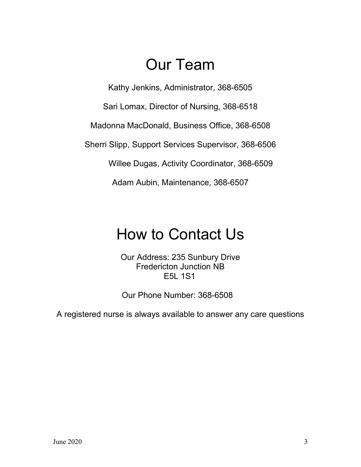### Our Team

Kathy Jenkins, Administrator, 368-6505

Sari Lomax, Director of Nursing, 368-6518

Madonna MacDonald, Business Office, 368-6508

Sherri Slipp, Support Services Supervisor, 368-6506

Willee Dugas, Activity Coordinator, 368-6509

Adam Aubin, Maintenance, 368-6507

## How to Contact Us

Our Address: 235 Sunbury Drive Fredericton Junction NB E5L 1S1

Our Phone Number: 368-6508

A registered nurse is always available to answer any care questions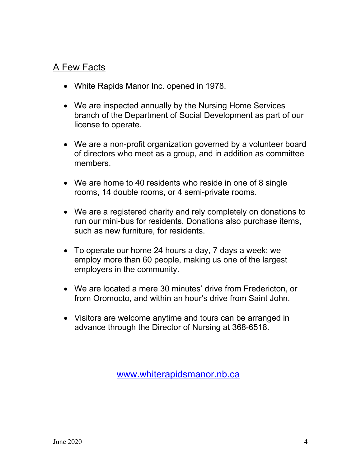### A Few Facts

- White Rapids Manor Inc. opened in 1978.
- We are inspected annually by the Nursing Home Services branch of the Department of Social Development as part of our license to operate.
- We are a non-profit organization governed by a volunteer board of directors who meet as a group, and in addition as committee members.
- We are home to 40 residents who reside in one of 8 single rooms, 14 double rooms, or 4 semi-private rooms.
- We are a registered charity and rely completely on donations to run our mini-bus for residents. Donations also purchase items, such as new furniture, for residents.
- To operate our home 24 hours a day, 7 days a week; we employ more than 60 people, making us one of the largest employers in the community.
- We are located a mere 30 minutes' drive from Fredericton, or from Oromocto, and within an hour's drive from Saint John.
- Visitors are welcome anytime and tours can be arranged in advance through the Director of Nursing at 368-6518.

[www.whiterapidsmanor.nb.ca](http://www.whiterapidsmanor.nb.ca/)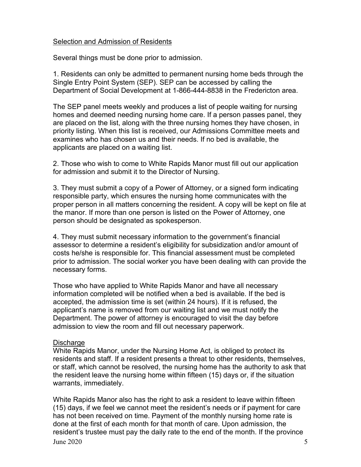#### Selection and Admission of Residents

Several things must be done prior to admission.

1. Residents can only be admitted to permanent nursing home beds through the Single Entry Point System (SEP). SEP can be accessed by calling the Department of Social Development at 1-866-444-8838 in the Fredericton area.

The SEP panel meets weekly and produces a list of people waiting for nursing homes and deemed needing nursing home care. If a person passes panel, they are placed on the list, along with the three nursing homes they have chosen, in priority listing. When this list is received, our Admissions Committee meets and examines who has chosen us and their needs. If no bed is available, the applicants are placed on a waiting list.

2. Those who wish to come to White Rapids Manor must fill out our application for admission and submit it to the Director of Nursing.

3. They must submit a copy of a Power of Attorney, or a signed form indicating responsible party, which ensures the nursing home communicates with the proper person in all matters concerning the resident. A copy will be kept on file at the manor. If more than one person is listed on the Power of Attorney, one person should be designated as spokesperson.

4. They must submit necessary information to the government's financial assessor to determine a resident's eligibility for subsidization and/or amount of costs he/she is responsible for. This financial assessment must be completed prior to admission. The social worker you have been dealing with can provide the necessary forms.

Those who have applied to White Rapids Manor and have all necessary information completed will be notified when a bed is available. If the bed is accepted, the admission time is set (within 24 hours). If it is refused, the applicant's name is removed from our waiting list and we must notify the Department. The power of attorney is encouraged to visit the day before admission to view the room and fill out necessary paperwork.

#### **Discharge**

White Rapids Manor, under the Nursing Home Act, is obliged to protect its residents and staff. If a resident presents a threat to other residents, themselves, or staff, which cannot be resolved, the nursing home has the authority to ask that the resident leave the nursing home within fifteen (15) days or, if the situation warrants, immediately.

June  $2020$  5 White Rapids Manor also has the right to ask a resident to leave within fifteen (15) days, if we feel we cannot meet the resident's needs or if payment for care has not been received on time. Payment of the monthly nursing home rate is done at the first of each month for that month of care. Upon admission, the resident's trustee must pay the daily rate to the end of the month. If the province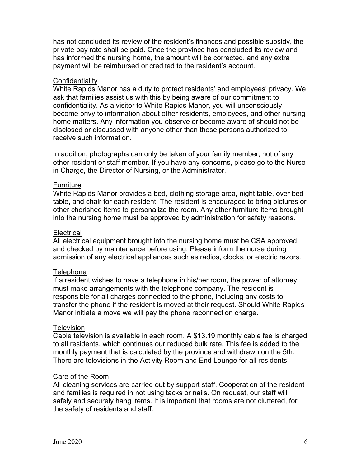has not concluded its review of the resident's finances and possible subsidy, the private pay rate shall be paid. Once the province has concluded its review and has informed the nursing home, the amount will be corrected, and any extra payment will be reimbursed or credited to the resident's account.

#### **Confidentiality**

White Rapids Manor has a duty to protect residents' and employees' privacy. We ask that families assist us with this by being aware of our commitment to confidentiality. As a visitor to White Rapids Manor, you will unconsciously become privy to information about other residents, employees, and other nursing home matters. Any information you observe or become aware of should not be disclosed or discussed with anyone other than those persons authorized to receive such information.

In addition, photographs can only be taken of your family member; not of any other resident or staff member. If you have any concerns, please go to the Nurse in Charge, the Director of Nursing, or the Administrator.

#### **Furniture**

White Rapids Manor provides a bed, clothing storage area, night table, over bed table, and chair for each resident. The resident is encouraged to bring pictures or other cherished items to personalize the room. Any other furniture items brought into the nursing home must be approved by administration for safety reasons.

#### **Electrical**

All electrical equipment brought into the nursing home must be CSA approved and checked by maintenance before using. Please inform the nurse during admission of any electrical appliances such as radios, clocks, or electric razors.

#### **Telephone**

If a resident wishes to have a telephone in his/her room, the power of attorney must make arrangements with the telephone company. The resident is responsible for all charges connected to the phone, including any costs to transfer the phone if the resident is moved at their request. Should White Rapids Manor initiate a move we will pay the phone reconnection charge.

#### **Television**

Cable television is available in each room. A \$13.19 monthly cable fee is charged to all residents, which continues our reduced bulk rate. This fee is added to the monthly payment that is calculated by the province and withdrawn on the 5th. There are televisions in the Activity Room and End Lounge for all residents.

#### Care of the Room

All cleaning services are carried out by support staff. Cooperation of the resident and families is required in not using tacks or nails. On request, our staff will safely and securely hang items. It is important that rooms are not cluttered, for the safety of residents and staff.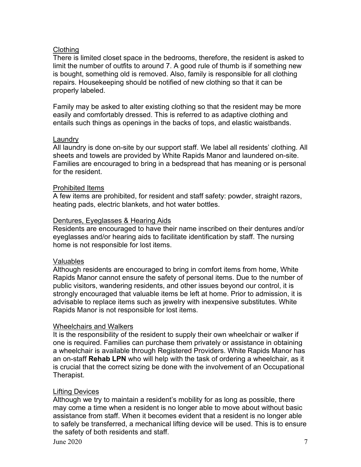#### **Clothing**

There is limited closet space in the bedrooms, therefore, the resident is asked to limit the number of outfits to around 7. A good rule of thumb is if something new is bought, something old is removed. Also, family is responsible for all clothing repairs. Housekeeping should be notified of new clothing so that it can be properly labeled.

Family may be asked to alter existing clothing so that the resident may be more easily and comfortably dressed. This is referred to as adaptive clothing and entails such things as openings in the backs of tops, and elastic waistbands.

#### Laundry

All laundry is done on-site by our support staff. We label all residents' clothing. All sheets and towels are provided by White Rapids Manor and laundered on-site. Families are encouraged to bring in a bedspread that has meaning or is personal for the resident.

#### Prohibited Items

A few items are prohibited, for resident and staff safety: powder, straight razors, heating pads, electric blankets, and hot water bottles.

#### Dentures, Eyeglasses & Hearing Aids

Residents are encouraged to have their name inscribed on their dentures and/or eyeglasses and/or hearing aids to facilitate identification by staff. The nursing home is not responsible for lost items.

#### Valuables

Although residents are encouraged to bring in comfort items from home, White Rapids Manor cannot ensure the safety of personal items. Due to the number of public visitors, wandering residents, and other issues beyond our control, it is strongly encouraged that valuable items be left at home. Prior to admission, it is advisable to replace items such as jewelry with inexpensive substitutes. White Rapids Manor is not responsible for lost items.

#### Wheelchairs and Walkers

It is the responsibility of the resident to supply their own wheelchair or walker if one is required. Families can purchase them privately or assistance in obtaining a wheelchair is available through Registered Providers. White Rapids Manor has an on-staff **Rehab LPN** who will help with the task of ordering a wheelchair, as it is crucial that the correct sizing be done with the involvement of an Occupational Therapist.

#### Lifting Devices

Although we try to maintain a resident's mobility for as long as possible, there may come a time when a resident is no longer able to move about without basic assistance from staff. When it becomes evident that a resident is no longer able to safely be transferred, a mechanical lifting device will be used. This is to ensure the safety of both residents and staff.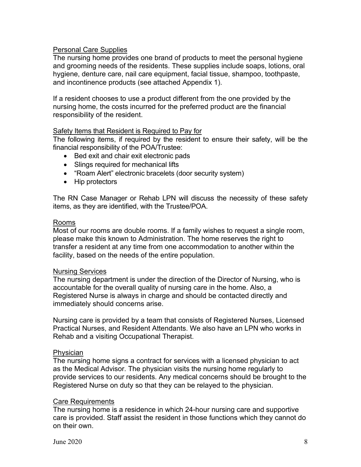#### Personal Care Supplies

The nursing home provides one brand of products to meet the personal hygiene and grooming needs of the residents. These supplies include soaps, lotions, oral hygiene, denture care, nail care equipment, facial tissue, shampoo, toothpaste, and incontinence products (see attached Appendix 1).

If a resident chooses to use a product different from the one provided by the nursing home, the costs incurred for the preferred product are the financial responsibility of the resident.

#### Safety Items that Resident is Required to Pay for

The following items, if required by the resident to ensure their safety, will be the financial responsibility of the POA/Trustee:

- Bed exit and chair exit electronic pads
- Slings required for mechanical lifts
- "Roam Alert" electronic bracelets (door security system)
- Hip protectors

The RN Case Manager or Rehab LPN will discuss the necessity of these safety items, as they are identified, with the Trustee/POA.

#### Rooms

Most of our rooms are double rooms. If a family wishes to request a single room, please make this known to Administration. The home reserves the right to transfer a resident at any time from one accommodation to another within the facility, based on the needs of the entire population.

#### Nursing Services

The nursing department is under the direction of the Director of Nursing, who is accountable for the overall quality of nursing care in the home. Also, a Registered Nurse is always in charge and should be contacted directly and immediately should concerns arise.

Nursing care is provided by a team that consists of Registered Nurses, Licensed Practical Nurses, and Resident Attendants. We also have an LPN who works in Rehab and a visiting Occupational Therapist.

#### **Physician**

The nursing home signs a contract for services with a licensed physician to act as the Medical Advisor. The physician visits the nursing home regularly to provide services to our residents. Any medical concerns should be brought to the Registered Nurse on duty so that they can be relayed to the physician.

#### Care Requirements

The nursing home is a residence in which 24-hour nursing care and supportive care is provided. Staff assist the resident in those functions which they cannot do on their own.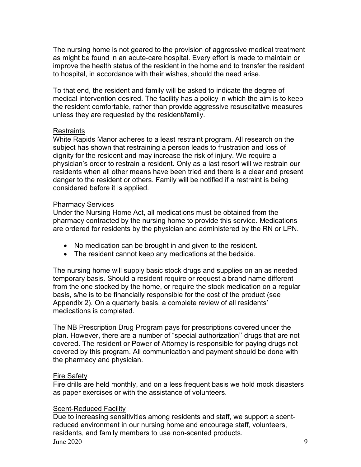The nursing home is not geared to the provision of aggressive medical treatment as might be found in an acute-care hospital. Every effort is made to maintain or improve the health status of the resident in the home and to transfer the resident to hospital, in accordance with their wishes, should the need arise.

To that end, the resident and family will be asked to indicate the degree of medical intervention desired. The facility has a policy in which the aim is to keep the resident comfortable, rather than provide aggressive resuscitative measures unless they are requested by the resident/family.

#### **Restraints**

White Rapids Manor adheres to a least restraint program. All research on the subject has shown that restraining a person leads to frustration and loss of dignity for the resident and may increase the risk of injury. We require a physician's order to restrain a resident. Only as a last resort will we restrain our residents when all other means have been tried and there is a clear and present danger to the resident or others. Family will be notified if a restraint is being considered before it is applied.

#### Pharmacy Services

Under the Nursing Home Act, all medications must be obtained from the pharmacy contracted by the nursing home to provide this service. Medications are ordered for residents by the physician and administered by the RN or LPN.

- No medication can be brought in and given to the resident.
- The resident cannot keep any medications at the bedside.

The nursing home will supply basic stock drugs and supplies on an as needed temporary basis. Should a resident require or request a brand name different from the one stocked by the home, or require the stock medication on a regular basis, s/he is to be financially responsible for the cost of the product (see Appendix 2). On a quarterly basis, a complete review of all residents' medications is completed.

The NB Prescription Drug Program pays for prescriptions covered under the plan. However, there are a number of "special authorization'' drugs that are not covered. The resident or Power of Attorney is responsible for paying drugs not covered by this program. All communication and payment should be done with the pharmacy and physician.

#### Fire Safety

Fire drills are held monthly, and on a less frequent basis we hold mock disasters as paper exercises or with the assistance of volunteers.

#### Scent-Reduced Facility

June  $2020$   $9$ Due to increasing sensitivities among residents and staff, we support a scentreduced environment in our nursing home and encourage staff, volunteers, residents, and family members to use non-scented products.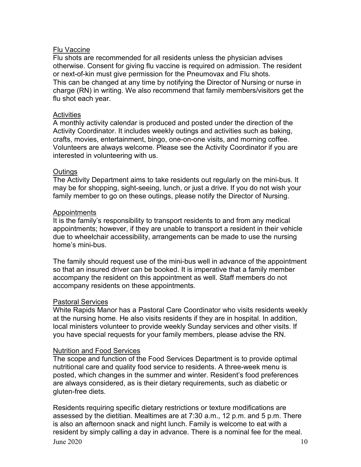#### Flu Vaccine

Flu shots are recommended for all residents unless the physician advises otherwise. Consent for giving flu vaccine is required on admission. The resident or next-of-kin must give permission for the Pneumovax and Flu shots. This can be changed at any time by notifying the Director of Nursing or nurse in charge (RN) in writing. We also recommend that family members/visitors get the flu shot each year.

#### **Activities**

A monthly activity calendar is produced and posted under the direction of the Activity Coordinator. It includes weekly outings and activities such as baking, crafts, movies, entertainment, bingo, one-on-one visits, and morning coffee. Volunteers are always welcome. Please see the Activity Coordinator if you are interested in volunteering with us.

#### **Outings**

The Activity Department aims to take residents out regularly on the mini-bus. It may be for shopping, sight-seeing, lunch, or just a drive. If you do not wish your family member to go on these outings, please notify the Director of Nursing.

#### Appointments

It is the family's responsibility to transport residents to and from any medical appointments; however, if they are unable to transport a resident in their vehicle due to wheelchair accessibility, arrangements can be made to use the nursing home's mini-bus.

The family should request use of the mini-bus well in advance of the appointment so that an insured driver can be booked. It is imperative that a family member accompany the resident on this appointment as well. Staff members do not accompany residents on these appointments.

#### Pastoral Services

White Rapids Manor has a Pastoral Care Coordinator who visits residents weekly at the nursing home. He also visits residents if they are in hospital. In addition, local ministers volunteer to provide weekly Sunday services and other visits. If you have special requests for your family members, please advise the RN.

#### Nutrition and Food Services

The scope and function of the Food Services Department is to provide optimal nutritional care and quality food service to residents. A three-week menu is posted, which changes in the summer and winter. Resident's food preferences are always considered, as is their dietary requirements, such as diabetic or gluten-free diets.

June  $2020$  10 Residents requiring specific dietary restrictions or texture modifications are assessed by the dietitian. Mealtimes are at 7:30 a.m., 12 p.m. and 5 p.m. There is also an afternoon snack and night lunch. Family is welcome to eat with a resident by simply calling a day in advance. There is a nominal fee for the meal.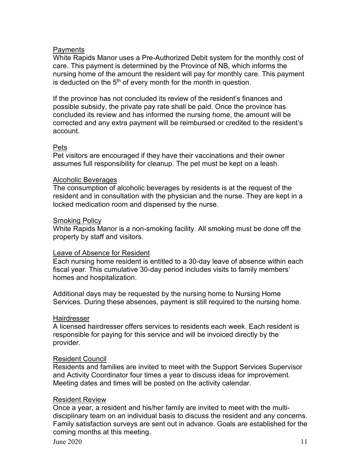#### Payments

White Rapids Manor uses a Pre-Authorized Debit system for the monthly cost of care. This payment is determined by the Province of NB, which informs the nursing home of the amount the resident will pay for monthly care. This payment is deducted on the 5<sup>th</sup> of every month for the month in question.

If the province has not concluded its review of the resident's finances and possible subsidy, the private pay rate shall be paid. Once the province has concluded its review and has informed the nursing home, the amount will be corrected and any extra payment will be reimbursed or credited to the resident's account.

#### Pets

Pet visitors are encouraged if they have their vaccinations and their owner assumes full responsibility for cleanup. The pet must be kept on a leash.

#### Alcoholic Beverages

The consumption of alcoholic beverages by residents is at the request of the resident and in consultation with the physician and the nurse. They are kept in a locked medication room and dispensed by the nurse.

#### Smoking Policy

White Rapids Manor is a non-smoking facility. All smoking must be done off the property by staff and visitors.

#### Leave of Absence for Resident

Each nursing home resident is entitled to a 30-day leave of absence within each fiscal year. This cumulative 30-day period includes visits to family members' homes and hospitalization.

Additional days may be requested by the nursing home to Nursing Home Services. During these absences, payment is still required to the nursing home.

#### **Hairdresser**

A licensed hairdresser offers services to residents each week. Each resident is responsible for paying for this service and will be invoiced directly by the provider.

#### Resident Council

Residents and families are invited to meet with the Support Services Supervisor and Activity Coordinator four times a year to discuss ideas for improvement. Meeting dates and times will be posted on the activity calendar.

#### Resident Review

Once a year, a resident and his/her family are invited to meet with the multidisciplinary team on an individual basis to discuss the resident and any concerns. Family satisfaction surveys are sent out in advance. Goals are established for the coming months at this meeting.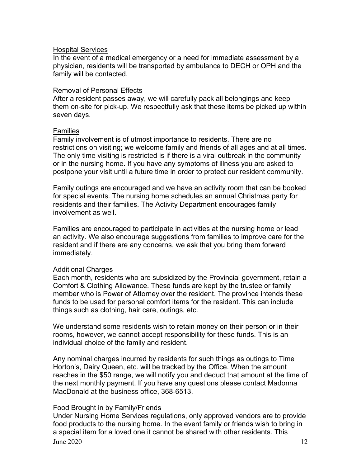#### Hospital Services

In the event of a medical emergency or a need for immediate assessment by a physician, residents will be transported by ambulance to DECH or OPH and the family will be contacted.

#### Removal of Personal Effects

After a resident passes away, we will carefully pack all belongings and keep them on-site for pick-up. We respectfully ask that these items be picked up within seven days.

#### Families

Family involvement is of utmost importance to residents. There are no restrictions on visiting; we welcome family and friends of all ages and at all times. The only time visiting is restricted is if there is a viral outbreak in the community or in the nursing home. If you have any symptoms of illness you are asked to postpone your visit until a future time in order to protect our resident community.

Family outings are encouraged and we have an activity room that can be booked for special events. The nursing home schedules an annual Christmas party for residents and their families. The Activity Department encourages family involvement as well.

Families are encouraged to participate in activities at the nursing home or lead an activity. We also encourage suggestions from families to improve care for the resident and if there are any concerns, we ask that you bring them forward immediately.

#### Additional Charges

Each month, residents who are subsidized by the Provincial government, retain a Comfort & Clothing Allowance. These funds are kept by the trustee or family member who is Power of Attorney over the resident. The province intends these funds to be used for personal comfort items for the resident. This can include things such as clothing, hair care, outings, etc.

We understand some residents wish to retain money on their person or in their rooms, however, we cannot accept responsibility for these funds. This is an individual choice of the family and resident.

Any nominal charges incurred by residents for such things as outings to Time Horton's, Dairy Queen, etc. will be tracked by the Office. When the amount reaches in the \$50 range, we will notify you and deduct that amount at the time of the next monthly payment. If you have any questions please contact Madonna MacDonald at the business office, 368-6513.

#### Food Brought in by Family/Friends

June  $2020$  12 Under Nursing Home Services regulations, only approved vendors are to provide food products to the nursing home. In the event family or friends wish to bring in a special item for a loved one it cannot be shared with other residents. This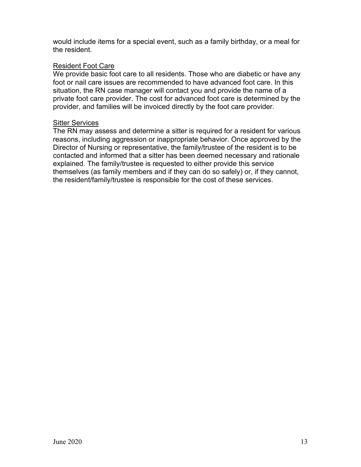would include items for a special event, such as a family birthday, or a meal for the resident.

#### Resident Foot Care

We provide basic foot care to all residents. Those who are diabetic or have any foot or nail care issues are recommended to have advanced foot care. In this situation, the RN case manager will contact you and provide the name of a private foot care provider. The cost for advanced foot care is determined by the provider, and families will be invoiced directly by the foot care provider.

#### **Sitter Services**

The RN may assess and determine a sitter is required for a resident for various reasons, including aggression or inappropriate behavior. Once approved by the Director of Nursing or representative, the family/trustee of the resident is to be contacted and informed that a sitter has been deemed necessary and rationale explained. The family/trustee is requested to either provide this service themselves (as family members and if they can do so safely) or, if they cannot, the resident/family/trustee is responsible for the cost of these services.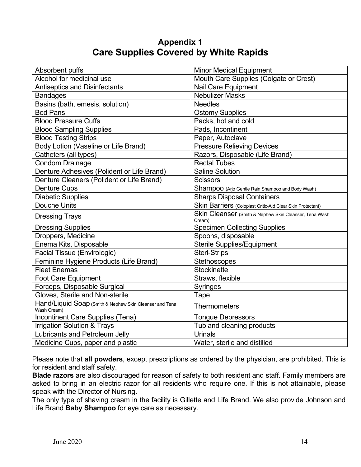### **Appendix 1 Care Supplies Covered by White Rapids**

| Absorbent puffs                                                        | <b>Minor Medical Equipment</b>                                   |
|------------------------------------------------------------------------|------------------------------------------------------------------|
| Alcohol for medicinal use                                              | Mouth Care Supplies (Colgate or Crest)                           |
| <b>Antiseptics and Disinfectants</b>                                   | Nail Care Equipment                                              |
| <b>Bandages</b>                                                        | <b>Nebulizer Masks</b>                                           |
| Basins (bath, emesis, solution)                                        | <b>Needles</b>                                                   |
| <b>Bed Pans</b>                                                        | <b>Ostomy Supplies</b>                                           |
| <b>Blood Pressure Cuffs</b>                                            | Packs, hot and cold                                              |
| <b>Blood Sampling Supplies</b>                                         | Pads, Incontinent                                                |
| <b>Blood Testing Strips</b>                                            | Paper, Autoclave                                                 |
| Body Lotion (Vaseline or Life Brand)                                   | <b>Pressure Relieving Devices</b>                                |
| Catheters (all types)                                                  | Razors, Disposable (Life Brand)                                  |
| <b>Condom Drainage</b>                                                 | <b>Rectal Tubes</b>                                              |
| Denture Adhesives (Polident or Life Brand)                             | <b>Saline Solution</b>                                           |
| Denture Cleaners (Polident or Life Brand)                              | <b>Scissors</b>                                                  |
| <b>Denture Cups</b>                                                    | Shampoo (Arjo Gentle Rain Shampoo and Body Wash)                 |
| <b>Diabetic Supplies</b>                                               | <b>Sharps Disposal Containers</b>                                |
| <b>Douche Units</b>                                                    | Skin Barriers (Coloplast Critic-Aid Clear Skin Protectant)       |
| <b>Dressing Trays</b>                                                  | Skin Cleanser (Smith & Nephew Skin Cleanser, Tena Wash<br>Cream) |
| <b>Dressing Supplies</b>                                               | <b>Specimen Collecting Supplies</b>                              |
| Droppers, Medicine                                                     | Spoons, disposable                                               |
| Enema Kits, Disposable                                                 | <b>Sterile Supplies/Equipment</b>                                |
| <b>Facial Tissue (Envirologic)</b>                                     | <b>Steri-Strips</b>                                              |
| Feminine Hygiene Products (Life Brand)                                 | <b>Stethoscopes</b>                                              |
| <b>Fleet Enemas</b>                                                    | <b>Stockinette</b>                                               |
| <b>Foot Care Equipment</b>                                             | Straws, flexible                                                 |
| Forceps, Disposable Surgical                                           | <b>Syringes</b>                                                  |
| Gloves, Sterile and Non-sterile                                        | Tape                                                             |
| Hand/Liquid Soap (Smith & Nephew Skin Cleanser and Tena<br>Wash Cream) | <b>Thermometers</b>                                              |
| Incontinent Care Supplies (Tena)                                       | <b>Tongue Depressors</b>                                         |
| <b>Irrigation Solution &amp; Trays</b>                                 | Tub and cleaning products                                        |
| Lubricants and Petroleum Jelly                                         | <b>Urinals</b>                                                   |
| Medicine Cups, paper and plastic                                       | Water, sterile and distilled                                     |

Please note that **all powders**, except prescriptions as ordered by the physician, are prohibited. This is for resident and staff safety.

**Blade razors** are also discouraged for reason of safety to both resident and staff. Family members are asked to bring in an electric razor for all residents who require one. If this is not attainable, please speak with the Director of Nursing.

The only type of shaving cream in the facility is Gillette and Life Brand. We also provide Johnson and Life Brand **Baby Shampoo** for eye care as necessary.